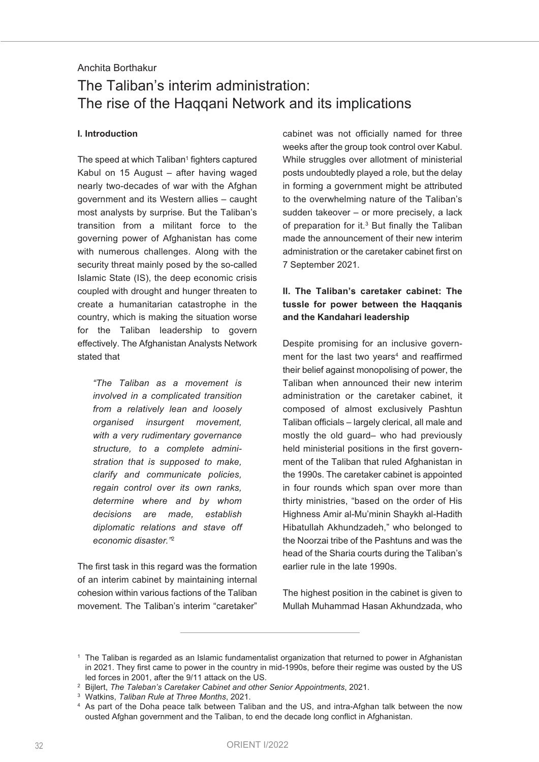## Anchita Borthakur

# The Taliban's interim administration: The rise of the Haqqani Network and its implications

### **I. Introduction**

The speed at which  $T$ aliban<sup>1</sup> fighters captured Kabul on 15 August – after having waged nearly two-decades of war with the Afghan government and its Western allies – caught most analysts by surprise. But the Taliban's transition from a militant force to the governing power of Afghanistan has come with numerous challenges. Along with the security threat mainly posed by the so-called Islamic State (IS), the deep economic crisis coupled with drought and hunger threaten to create a humanitarian catastrophe in the country, which is making the situation worse for the Taliban leadership to govern effectively. The Afghanistan Analysts Network stated that

*"The Taliban as a movement is involved in a complicated transition from a relatively lean and loosely organised insurgent movement, with a very rudimentary governance structure, to a complete administration that is supposed to make, clarify and communicate policies, regain control over its own ranks, determine where and by whom decisions are made, establish diplomatic relations and stave off economic disaster."*<sup>2</sup>

The first task in this regard was the formation of an interim cabinet by maintaining internal cohesion within various factions of the Taliban movement. The Taliban's interim "caretaker"

cabinet was not officially named for three weeks after the group took control over Kabul. While struggles over allotment of ministerial posts undoubtedly played a role, but the delay in forming a government might be attributed to the overwhelming nature of the Taliban's sudden takeover – or more precisely, a lack of preparation for it. <sup>3</sup> But finally the Taliban made the announcement of their new interim administration or the caretaker cabinet first on 7 September 2021.

# **II. The Taliban's caretaker cabinet: The tussle for power between the Haqqanis and the Kandahari leadership**

Despite promising for an inclusive government for the last two years $4$  and reaffirmed their belief against monopolising of power, the Taliban when announced their new interim administration or the caretaker cabinet, it composed of almost exclusively Pashtun Taliban officials – largely clerical, all male and mostly the old guard– who had previously held ministerial positions in the first government of the Taliban that ruled Afghanistan in the 1990s. The caretaker cabinet is appointed in four rounds which span over more than thirty ministries, "based on the order of His Highness Amir al-Mu'minin Shaykh al-Hadith Hibatullah Akhundzadeh," who belonged to the Noorzai tribe of the Pashtuns and was the head of the Sharia courts during the Taliban's earlier rule in the late 1990s.

The highest position in the cabinet is given to Mullah Muhammad Hasan Akhundzada, who

<sup>1</sup> The Taliban is regarded as an Islamic fundamentalist organization that returned to power in Afghanistan in 2021. They first came to power in the country in mid-1990s, before their regime was ousted by the US led forces in 2001, after the 9/11 attack on the US.

<sup>2</sup> Bijlert, *The Taleban's Caretaker Cabinet and other Senior Appointments*, 2021.

<sup>3</sup> Watkins, *Taliban Rule at Three Months*, 2021.

<sup>4</sup> As part of the Doha peace talk between Taliban and the US, and intra-Afghan talk between the now ousted Afghan government and the Taliban, to end the decade long conflict in Afghanistan.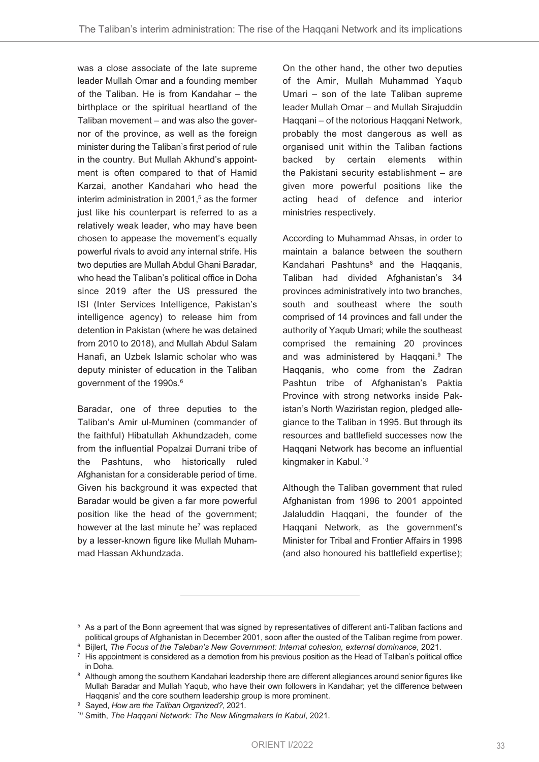was a close associate of the late supreme leader Mullah Omar and a founding member of the Taliban. He is from Kandahar – the birthplace or the spiritual heartland of the Taliban movement – and was also the governor of the province, as well as the foreign minister during the Taliban's first period of rule in the country. But Mullah Akhund's appointment is often compared to that of Hamid Karzai, another Kandahari who head the interim administration in 2001, <sup>5</sup> as the former just like his counterpart is referred to as a relatively weak leader, who may have been chosen to appease the movement's equally powerful rivals to avoid any internal strife. His two deputies are Mullah Abdul Ghani Baradar, who head the Taliban's political office in Doha since 2019 after the US pressured the ISI (Inter Services Intelligence, Pakistan's intelligence agency) to release him from detention in Pakistan (where he was detained from 2010 to 2018), and Mullah Abdul Salam Hanafi, an Uzbek Islamic scholar who was deputy minister of education in the Taliban government of the 1990s. 6

Baradar, one of three deputies to the Taliban's Amir ul-Muminen (commander of the faithful) Hibatullah Akhundzadeh, come from the influential Popalzai Durrani tribe of the Pashtuns, who historically ruled Afghanistan for a considerable period of time. Given his background it was expected that Baradar would be given a far more powerful position like the head of the government; however at the last minute he<sup>7</sup> was replaced by a lesser-known figure like Mullah Muhammad Hassan Akhundzada.

On the other hand, the other two deputies of the Amir, Mullah Muhammad Yaqub Umari – son of the late Taliban supreme leader Mullah Omar – and Mullah Sirajuddin Haqqani – of the notorious Haqqani Network, probably the most dangerous as well as organised unit within the Taliban factions backed by certain elements within the Pakistani security establishment – are given more powerful positions like the acting head of defence and interior ministries respectively.

According to Muhammad Ahsas, in order to maintain a balance between the southern Kandahari Pashtuns<sup>8</sup> and the Haqqanis, Taliban had divided Afghanistan's 34 provinces administratively into two branches, south and southeast where the south comprised of 14 provinces and fall under the authority of Yaqub Umari; while the southeast comprised the remaining 20 provinces and was administered by Haqqani. <sup>9</sup> The Haqqanis, who come from the Zadran Pashtun tribe of Afghanistan's Paktia Province with strong networks inside Pakistan's North Waziristan region, pledged allegiance to the Taliban in 1995. But through its resources and battlefield successes now the Haqqani Network has become an influential kingmaker in Kabul. 10

Although the Taliban government that ruled Afghanistan from 1996 to 2001 appointed Jalaluddin Haqqani, the founder of the Haqqani Network, as the government's Minister for Tribal and Frontier Affairs in 1998 (and also honoured his battlefield expertise);

<sup>5</sup> As a part of the Bonn agreement that was signed by representatives of different anti-Taliban factions and political groups of Afghanistan in December 2001, soon after the ousted of the Taliban regime from power.

<sup>6</sup> Bijlert, *The Focus of the Taleban's New Government: Internal cohesion, external dominance*, 2021.

 $7$  His appointment is considered as a demotion from his previous position as the Head of Taliban's political office in Doha.

<sup>&</sup>lt;sup>8</sup> Although among the southern Kandahari leadership there are different allegiances around senior figures like Mullah Baradar and Mullah Yaqub, who have their own followers in Kandahar; yet the difference between Haqqanis' and the core southern leadership group is more prominent.

<sup>9</sup> Sayed, *How are the Taliban Organized?*, 2021.

<sup>10</sup> Smith, *The Haqqani Network: The New Mingmakers In Kabul*, 2021.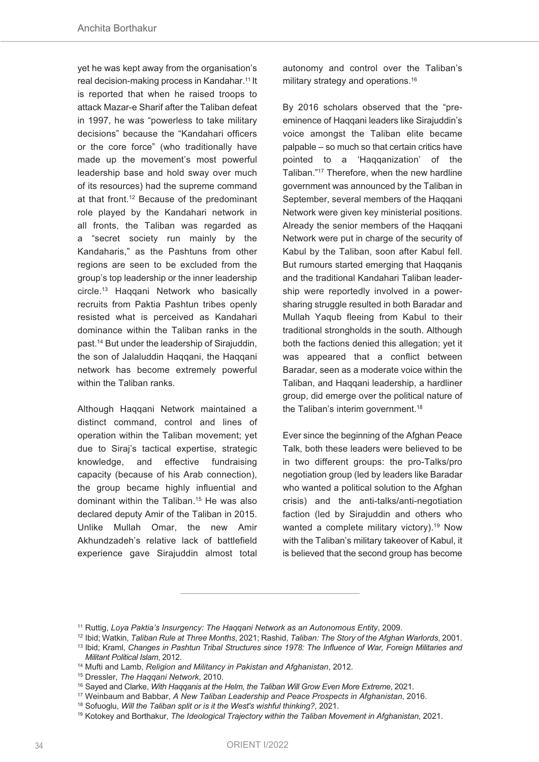yet he was kept away from the organisation's real decision-making process in Kandahar. <sup>11</sup> It is reported that when he raised troops to attack Mazar-e Sharif after the Taliban defeat in 1997, he was "powerless to take military decisions" because the "Kandahari officers or the core force" (who traditionally have made up the movement's most powerful leadership base and hold sway over much of its resources) had the supreme command at that front. <sup>12</sup> Because of the predominant role played by the Kandahari network in all fronts, the Taliban was regarded as a "secret society run mainly by the Kandaharis," as the Pashtuns from other regions are seen to be excluded from the group's top leadership or the inner leadership circle. <sup>13</sup> Haqqani Network who basically recruits from Paktia Pashtun tribes openly resisted what is perceived as Kandahari dominance within the Taliban ranks in the past. <sup>14</sup> But under the leadership of Sirajuddin, the son of Jalaluddin Haqqani, the Haqqani network has become extremely powerful within the Taliban ranks.

Although Haqqani Network maintained a distinct command, control and lines of operation within the Taliban movement; yet due to Siraj's tactical expertise, strategic knowledge, and effective fundraising capacity (because of his Arab connection), the group became highly influential and dominant within the Taliban. <sup>15</sup> He was also declared deputy Amir of the Taliban in 2015. Unlike Mullah Omar, the new Amir Akhundzadeh's relative lack of battlefield experience gave Sirajuddin almost total

autonomy and control over the Taliban's military strategy and operations. 16

By 2016 scholars observed that the "preeminence of Haqqani leaders like Sirajuddin's voice amongst the Taliban elite became palpable – so much so that certain critics have pointed to a 'Hagganization' of the Taliban."17 Therefore, when the new hardline government was announced by the Taliban in September, several members of the Haqqani Network were given key ministerial positions. Already the senior members of the Haqqani Network were put in charge of the security of Kabul by the Taliban, soon after Kabul fell. But rumours started emerging that Haqqanis and the traditional Kandahari Taliban leadership were reportedly involved in a powersharing struggle resulted in both Baradar and Mullah Yaqub fleeing from Kabul to their traditional strongholds in the south. Although both the factions denied this allegation; yet it was appeared that a conflict between Baradar, seen as a moderate voice within the Taliban, and Haqqani leadership, a hardliner group, did emerge over the political nature of the Taliban's interim government. 18

Ever since the beginning of the Afghan Peace Talk, both these leaders were believed to be in two different groups: the pro-Talks/pro negotiation group (led by leaders like Baradar who wanted a political solution to the Afghan crisis) and the anti-talks/anti-negotiation faction (led by Sirajuddin and others who wanted a complete military victory).<sup>19</sup> Now with the Taliban's military takeover of Kabul, it is believed that the second group has become

<sup>11</sup> Ruttig, *Loya Paktia's Insurgency: The Haqqani Network as an Autonomous Entity*, 2009.

<sup>12</sup> Ibid; Watkin, *Taliban Rule at Three Months*, 2021; Rashid, *Taliban: The Story of the Afghan Warlords*, 2001.

<sup>13</sup> Ibid; Kraml, *Changes in Pashtun Tribal Structures since 1978: The Influence of War, Foreign Militaries and Militant Political Islam*, 2012.

<sup>14</sup> Mufti and Lamb, *Religion and Militancy in Pakistan and Afghanistan*, 2012.

<sup>15</sup> Dressler, *The Haqqani Network*, 2010.

<sup>16</sup> Sayed and Clarke, *With Haqqanis at the Helm, the Taliban Will Grow Even More Extreme*, 2021.

<sup>17</sup> Weinbaum and Babbar, *A New Taliban Leadership and Peace Prospects in Afghanistan*, 2016.

<sup>18</sup> Sofuoglu, *Will the Taliban split or is it the West's wishful thinking?*, 2021.

<sup>19</sup> Kotokey and Borthakur, *The Ideological Trajectory within the Taliban Movement in Afghanistan*, 2021.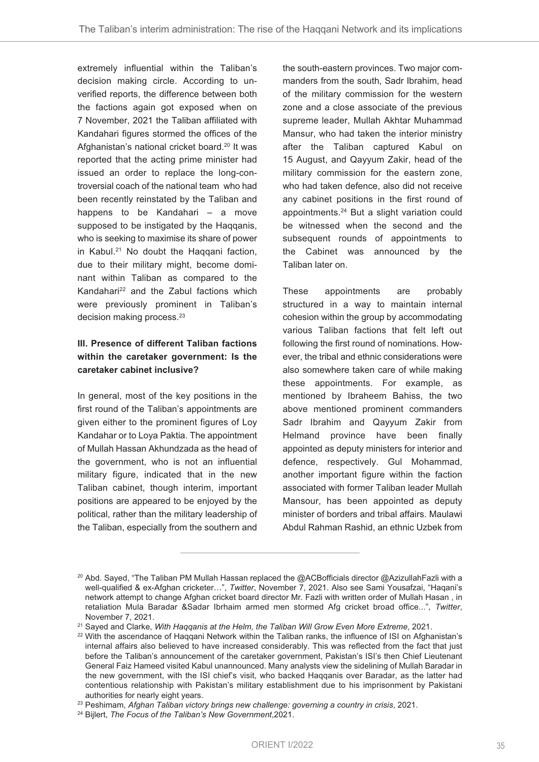extremely influential within the Taliban's decision making circle. According to unverified reports, the difference between both the factions again got exposed when on 7 November, 2021 the Taliban affiliated with Kandahari figures stormed the offices of the Afghanistan's national cricket board. <sup>20</sup> It was reported that the acting prime minister had issued an order to replace the long-controversial coach of the national team who had been recently reinstated by the Taliban and happens to be Kandahari – a move supposed to be instigated by the Haqqanis, who is seeking to maximise its share of power in Kabul. <sup>21</sup> No doubt the Haqqani faction, due to their military might, become dominant within Taliban as compared to the Kandahari <sup>22</sup> and the Zabul factions which were previously prominent in Taliban's decision making process.<sup>23</sup>

# **III. Presence of different Taliban factions within the caretaker government: Is the caretaker cabinet inclusive?**

In general, most of the key positions in the first round of the Taliban's appointments are given either to the prominent figures of Loy Kandahar or to Loya Paktia. The appointment of Mullah Hassan Akhundzada as the head of the government, who is not an influential military figure, indicated that in the new Taliban cabinet, though interim, important positions are appeared to be enjoyed by the political, rather than the military leadership of the Taliban, especially from the southern and

the south-eastern provinces. Two major commanders from the south, Sadr Ibrahim, head of the military commission for the western zone and a close associate of the previous supreme leader, Mullah Akhtar Muhammad Mansur, who had taken the interior ministry after the Taliban captured Kabul on 15 August, and Qayyum Zakir, head of the military commission for the eastern zone, who had taken defence, also did not receive any cabinet positions in the first round of appointments. <sup>24</sup> But a slight variation could be witnessed when the second and the subsequent rounds of appointments to the Cabinet was announced by the Taliban later on.

These appointments are probably structured in a way to maintain internal cohesion within the group by accommodating various Taliban factions that felt left out following the first round of nominations. However, the tribal and ethnic considerations were also somewhere taken care of while making these appointments. For example, as mentioned by Ibraheem Bahiss, the two above mentioned prominent commanders Sadr Ibrahim and Qayyum Zakir from Helmand province have been finally appointed as deputy ministers for interior and defence, respectively. Gul Mohammad, another important figure within the faction associated with former Taliban leader Mullah Mansour, has been appointed as deputy minister of borders and tribal affairs. Maulawi Abdul Rahman Rashid, an ethnic Uzbek from

<sup>&</sup>lt;sup>20</sup> Abd. Sayed, "The Taliban PM Mullah Hassan replaced the @ACBofficials director @AzizullahFazli with a well-qualified & ex-Afghan cricketer…", *Twitter*, November 7, 2021. Also see Sami Yousafzai, "Haqani's network attempt to change Afghan cricket board director Mr. Fazli with written order of Mullah Hasan , in retaliation Mula Baradar &Sadar Ibrhaim armed men stormed Afg cricket broad office...", *Twitter*, November 7, 2021.

<sup>21</sup> Sayed and Clarke, *With Haqqanis at the Helm, the Taliban Will Grow Even More Extreme*, 2021.

<sup>&</sup>lt;sup>22</sup> With the ascendance of Haqqani Network within the Taliban ranks, the influence of ISI on Afghanistan's internal affairs also believed to have increased considerably. This was reflected from the fact that just before the Taliban's announcement of the caretaker government, Pakistan's ISI's then Chief Lieutenant General Faiz Hameed visited Kabul unannounced. Many analysts view the sidelining of Mullah Baradar in the new government, with the ISI chief's visit, who backed Haqqanis over Baradar, as the latter had contentious relationship with Pakistan's military establishment due to his imprisonment by Pakistani authorities for nearly eight years.

<sup>23</sup> Peshimam, *Afghan Taliban victory brings new challenge: governing a country in crisis*, 2021.

<sup>24</sup> Bijlert, *The Focus of the Taliban's New Government*,2021.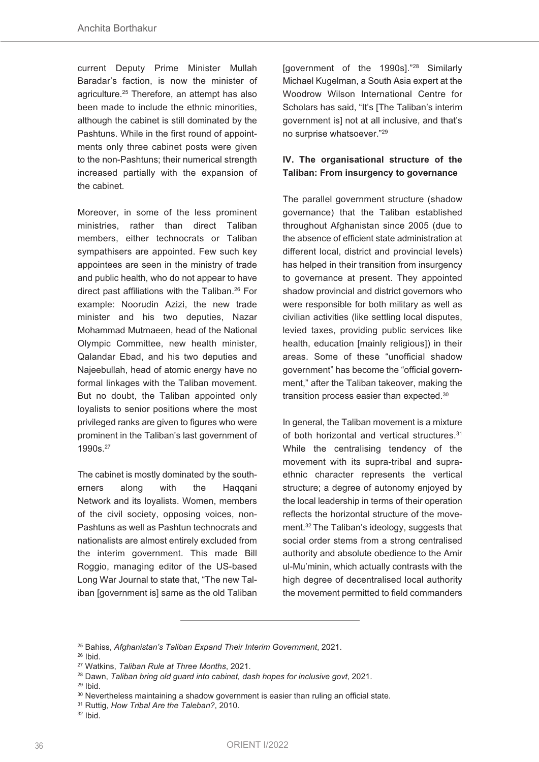current Deputy Prime Minister Mullah Baradar's faction, is now the minister of agriculture. <sup>25</sup> Therefore, an attempt has also been made to include the ethnic minorities, although the cabinet is still dominated by the Pashtuns. While in the first round of appointments only three cabinet posts were given to the non-Pashtuns; their numerical strength increased partially with the expansion of the cabinet.

Moreover, in some of the less prominent ministries, rather than direct Taliban members, either technocrats or Taliban sympathisers are appointed. Few such key appointees are seen in the ministry of trade and public health, who do not appear to have direct past affiliations with the Taliban. <sup>26</sup> For example: Noorudin Azizi, the new trade minister and his two deputies, Nazar Mohammad Mutmaeen, head of the National Olympic Committee, new health minister, Qalandar Ebad, and his two deputies and Najeebullah, head of atomic energy have no formal linkages with the Taliban movement. But no doubt, the Taliban appointed only loyalists to senior positions where the most privileged ranks are given to figures who were prominent in the Taliban's last government of 1990s. 27

The cabinet is mostly dominated by the southerners along with the Haqqani Network and its loyalists. Women, members of the civil society, opposing voices, non-Pashtuns as well as Pashtun technocrats and nationalists are almost entirely excluded from the interim government. This made Bill Roggio, managing editor of the US-based Long War Journal to state that, "The new Taliban [government is] same as the old Taliban

[government of the 1990s]."28 Similarly Michael Kugelman, a South Asia expert at the Woodrow Wilson International Centre for Scholars has said, "It's [The Taliban's interim government is] not at all inclusive, and that's no surprise whatsoever."29

# **IV. The organisational structure of the Taliban: From insurgency to governance**

The parallel government structure (shadow governance) that the Taliban established throughout Afghanistan since 2005 (due to the absence of efficient state administration at different local, district and provincial levels) has helped in their transition from insurgency to governance at present. They appointed shadow provincial and district governors who were responsible for both military as well as civilian activities (like settling local disputes, levied taxes, providing public services like health, education [mainly religious]) in their areas. Some of these "unofficial shadow government" has become the "official government," after the Taliban takeover, making the transition process easier than expected.<sup>30</sup>

In general, the Taliban movement is a mixture of both horizontal and vertical structures. 31 While the centralising tendency of the movement with its supra-tribal and supraethnic character represents the vertical structure; a degree of autonomy enjoyed by the local leadership in terms of their operation reflects the horizontal structure of the movement. <sup>32</sup> The Taliban's ideology, suggests that social order stems from a strong centralised authority and absolute obedience to the Amir ul-Mu'minin, which actually contrasts with the high degree of decentralised local authority the movement permitted to field commanders

<sup>28</sup> Dawn, *Taliban bring old guard into cabinet, dash hopes for inclusive govt*, 2021.

<sup>31</sup> Ruttig, *How Tribal Are the Taleban?*, 2010.

<sup>25</sup> Bahiss, *Afghanistan's Taliban Expand Their Interim Government*, 2021.

<sup>26</sup> Ibid.

<sup>27</sup> Watkins, *Taliban Rule at Three Months*, 2021.

 $29$  Ibid.

<sup>&</sup>lt;sup>30</sup> Nevertheless maintaining a shadow government is easier than ruling an official state.

<sup>32</sup> Ibid.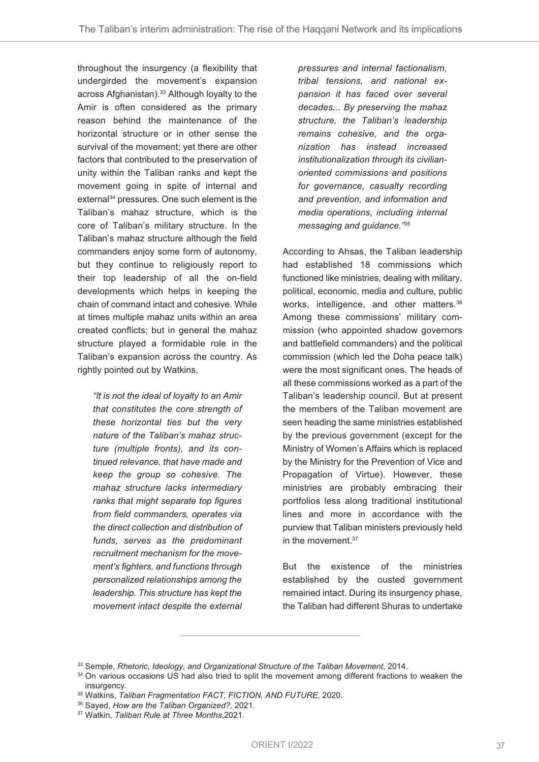throughout the insurgency (a flexibility that undergirded the movement's expansion across Afghanistan). <sup>33</sup> Although loyalty to the Amir is often considered as the primary reason behind the maintenance of the horizontal structure or in other sense the survival of the movement; yet there are other factors that contributed to the preservation of unity within the Taliban ranks and kept the movement going in spite of internal and external <sup>34</sup> pressures. One such element is the Taliban's mahaz structure, which is the core of Taliban's military structure. In the Taliban's mahaz structure although the field commanders enjoy some form of autonomy, but they continue to religiously report to their top leadership of all the on-field developments which helps in keeping the chain of command intact and cohesive. While at times multiple mahaz units within an area created conflicts; but in general the mahaz structure played a formidable role in the Taliban's expansion across the country. As rightly pointed out by Watkins,

*"It is not the ideal of loyalty to an Amir that constitutes the core strength of these horizontal ties but the very nature of the Taliban's mahaz structure (multiple fronts), and its continued relevance, that have made and keep the group so cohesive. The mahaz structure lacks intermediary ranks that might separate top figures from field commanders, operates via the direct collection and distribution of funds, serves as the predominant recruitment mechanism for the movement's fighters, and functions through personalized relationships among the leadership. This structure has kept the movement intact despite the external*

*pressures and internal factionalism, tribal tensions, and national expansion it has faced over several decades... By preserving the mahaz structure, the Taliban's leadership remains cohesive, and the organization has instead increased institutionalization through its civilianoriented commissions and positions for governance, casualty recording and prevention, and information and media operations, including internal messaging and guidance."*<sup>35</sup>

According to Ahsas, the Taliban leadership had established 18 commissions which functioned like ministries, dealing with military, political, economic, media and culture, public works, intelligence, and other matters. 36 Among these commissions' military commission (who appointed shadow governors and battlefield commanders) and the political commission (which led the Doha peace talk) were the most significant ones. The heads of all these commissions worked as a part of the Taliban's leadership council. But at present the members of the Taliban movement are seen heading the same ministries established by the previous government (except for the Ministry of Women's Affairs which is replaced by the Ministry for the Prevention of Vice and Propagation of Virtue). However, these ministries are probably embracing their portfolios less along traditional institutional lines and more in accordance with the purview that Taliban ministers previously held in the movement. 37

But the existence of the ministries established by the ousted government remained intact. During its insurgency phase, the Taliban had different Shuras to undertake

<sup>33</sup> Semple, *Rhetoric, Ideology, and Organizational Structure of the Taliban Movement*, 2014.

<sup>&</sup>lt;sup>34</sup> On various occasions US had also tried to split the movement among different fractions to weaken the insurgency.

<sup>35</sup> Watkins, *Taliban Fragmentation FACT, FICTION, AND FUTURE*, 2020.

<sup>36</sup> Sayed, *How are the Taliban Organized?*, 2021.

<sup>37</sup> Watkin, *Taliban Rule at Three Months*,2021.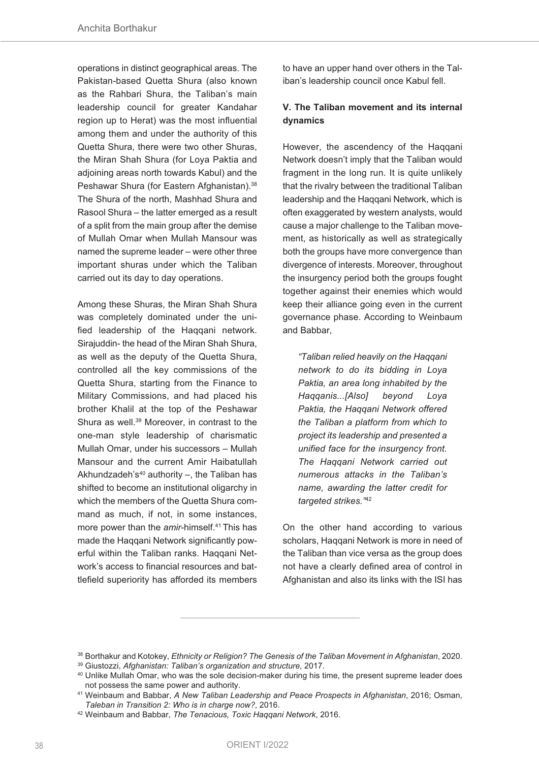operations in distinct geographical areas. The Pakistan-based Quetta Shura (also known as the Rahbari Shura, the Taliban's main leadership council for greater Kandahar region up to Herat) was the most influential among them and under the authority of this Quetta Shura, there were two other Shuras, the Miran Shah Shura (for Loya Paktia and adjoining areas north towards Kabul) and the Peshawar Shura (for Eastern Afghanistan). 38 The Shura of the north, Mashhad Shura and Rasool Shura – the latter emerged as a result of a split from the main group after the demise of Mullah Omar when Mullah Mansour was named the supreme leader – were other three important shuras under which the Taliban carried out its day to day operations.

Among these Shuras, the Miran Shah Shura was completely dominated under the unified leadership of the Haqqani network. Sirajuddin- the head of the Miran Shah Shura, as well as the deputy of the Quetta Shura, controlled all the key commissions of the Quetta Shura, starting from the Finance to Military Commissions, and had placed his brother Khalil at the top of the Peshawar Shura as well. <sup>39</sup> Moreover, in contrast to the one-man style leadership of charismatic Mullah Omar, under his successors – Mullah Mansour and the current Amir Haibatullah Akhundzadeh's<sup>40</sup> authority  $-$ , the Taliban has shifted to become an institutional oligarchy in which the members of the Quetta Shura command as much, if not, in some instances, more power than the *amir*-himself. <sup>41</sup> This has made the Haqqani Network significantly powerful within the Taliban ranks. Haqqani Network's access to financial resources and battlefield superiority has afforded its members

to have an upper hand over others in the Taliban's leadership council once Kabul fell.

## **V. The Taliban movement and its internal dynamics**

However, the ascendency of the Haqqani Network doesn't imply that the Taliban would fragment in the long run. It is quite unlikely that the rivalry between the traditional Taliban leadership and the Haqqani Network, which is often exaggerated by western analysts, would cause a major challenge to the Taliban movement, as historically as well as strategically both the groups have more convergence than divergence of interests. Moreover, throughout the insurgency period both the groups fought together against their enemies which would keep their alliance going even in the current governance phase. According to Weinbaum and Babbar,

*"Taliban relied heavily on the Haqqani network to do its bidding in Loya Paktia, an area long inhabited by the Haqqanis...[Also] beyond Loya Paktia, the Haqqani Network offered the Taliban a platform from which to project its leadership and presented a unified face for the insurgency front. The Haqqani Network carried out numerous attacks in the Taliban's name, awarding the latter credit for targeted strikes."*<sup>42</sup>

On the other hand according to various scholars, Haqqani Network is more in need of the Taliban than vice versa as the group does not have a clearly defined area of control in Afghanistan and also its links with the ISI has

<sup>38</sup> Borthakur and Kotokey, *Ethnicity or Religion? The Genesis of the Taliban Movement in Afghanistan*, 2020.

<sup>39</sup> Giustozzi, *Afghanistan: Taliban's organization and structure*, 2017.

<sup>&</sup>lt;sup>40</sup> Unlike Mullah Omar, who was the sole decision-maker during his time, the present supreme leader does not possess the same power and authority.

<sup>41</sup> Weinbaum and Babbar, *A New Taliban Leadership and Peace Prospects in Afghanistan*, 2016; Osman, *Taleban in Transition 2: Who is in charge now?*, 2016.

<sup>42</sup> Weinbaum and Babbar, *The Tenacious, Toxic Haqqani Network*, 2016.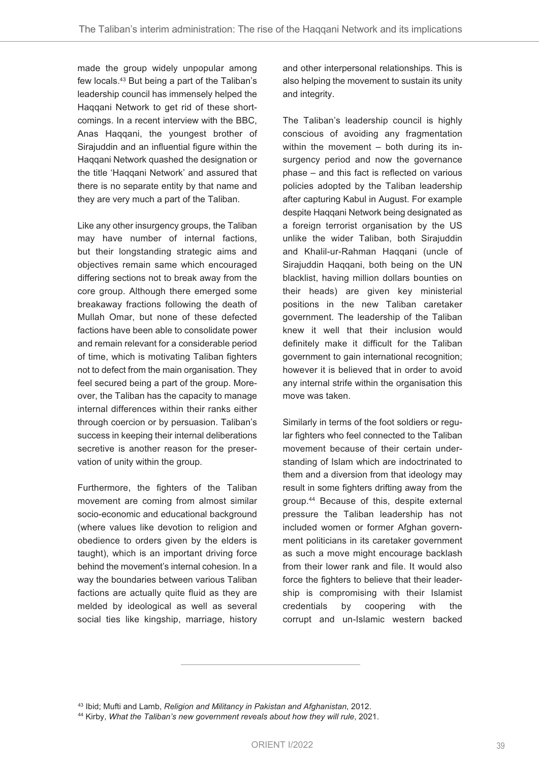made the group widely unpopular among few locals. <sup>43</sup> But being a part of the Taliban's leadership council has immensely helped the Haqqani Network to get rid of these shortcomings. In a recent interview with the BBC, Anas Haqqani, the youngest brother of Sirajuddin and an influential figure within the Haqqani Network quashed the designation or the title 'Haqqani Network' and assured that there is no separate entity by that name and they are very much a part of the Taliban.

Like any other insurgency groups, the Taliban may have number of internal factions, but their longstanding strategic aims and objectives remain same which encouraged differing sections not to break away from the core group. Although there emerged some breakaway fractions following the death of Mullah Omar, but none of these defected factions have been able to consolidate power and remain relevant for a considerable period of time, which is motivating Taliban fighters not to defect from the main organisation. They feel secured being a part of the group. Moreover, the Taliban has the capacity to manage internal differences within their ranks either through coercion or by persuasion. Taliban's success in keeping their internal deliberations secretive is another reason for the preservation of unity within the group.

Furthermore, the fighters of the Taliban movement are coming from almost similar socio-economic and educational background (where values like devotion to religion and obedience to orders given by the elders is taught), which is an important driving force behind the movement's internal cohesion. In a way the boundaries between various Taliban factions are actually quite fluid as they are melded by ideological as well as several social ties like kingship, marriage, history

and other interpersonal relationships. This is also helping the movement to sustain its unity and integrity.

The Taliban's leadership council is highly conscious of avoiding any fragmentation within the movement – both during its insurgency period and now the governance phase – and this fact is reflected on various policies adopted by the Taliban leadership after capturing Kabul in August. For example despite Haqqani Network being designated as a foreign terrorist organisation by the US unlike the wider Taliban, both Sirajuddin and Khalil-ur-Rahman Haqqani (uncle of Sirajuddin Haqqani, both being on the UN blacklist, having million dollars bounties on their heads) are given key ministerial positions in the new Taliban caretaker government. The leadership of the Taliban knew it well that their inclusion would definitely make it difficult for the Taliban government to gain international recognition; however it is believed that in order to avoid any internal strife within the organisation this move was taken.

Similarly in terms of the foot soldiers or regular fighters who feel connected to the Taliban movement because of their certain understanding of Islam which are indoctrinated to them and a diversion from that ideology may result in some fighters drifting away from the group. <sup>44</sup> Because of this, despite external pressure the Taliban leadership has not included women or former Afghan government politicians in its caretaker government as such a move might encourage backlash from their lower rank and file. It would also force the fighters to believe that their leadership is compromising with their Islamist credentials by coopering with the corrupt and un-Islamic western backed

<sup>43</sup> Ibid; Mufti and Lamb, *Religion and Militancy in Pakistan and Afghanistan*, 2012.

<sup>44</sup> Kirby, *What the Taliban's new government reveals about how they will rule*, 2021.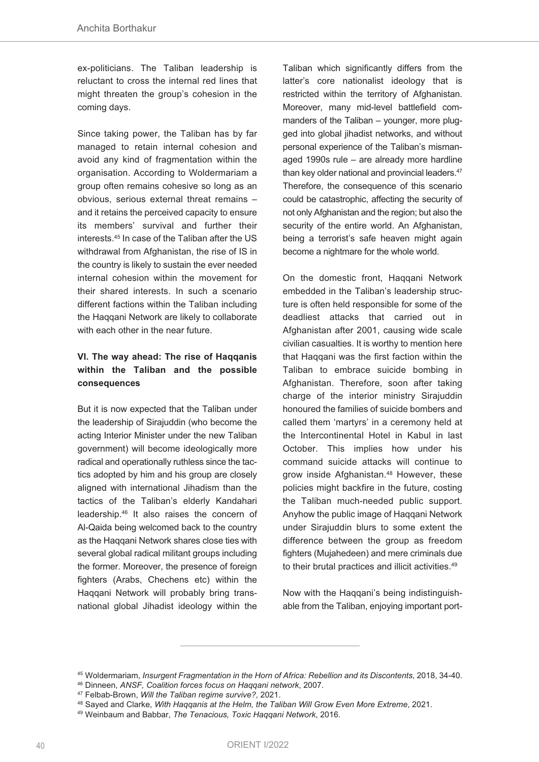ex-politicians. The Taliban leadership is reluctant to cross the internal red lines that might threaten the group's cohesion in the coming days.

Since taking power, the Taliban has by far managed to retain internal cohesion and avoid any kind of fragmentation within the organisation. According to Woldermariam a group often remains cohesive so long as an obvious, serious external threat remains – and it retains the perceived capacity to ensure its members' survival and further their interests. <sup>45</sup> In case of the Taliban after the US withdrawal from Afghanistan, the rise of IS in the country is likely to sustain the ever needed internal cohesion within the movement for their shared interests. In such a scenario different factions within the Taliban including the Haqqani Network are likely to collaborate with each other in the near future.

# **VI. The way ahead: The rise of Haqqanis within the Taliban and the possible consequences**

But it is now expected that the Taliban under the leadership of Sirajuddin (who become the acting Interior Minister under the new Taliban government) will become ideologically more radical and operationally ruthless since the tactics adopted by him and his group are closely aligned with international Jihadism than the tactics of the Taliban's elderly Kandahari leadership. <sup>46</sup> It also raises the concern of Al-Qaida being welcomed back to the country as the Haqqani Network shares close ties with several global radical militant groups including the former. Moreover, the presence of foreign fighters (Arabs, Chechens etc) within the Haqqani Network will probably bring transnational global Jihadist ideology within the

Taliban which significantly differs from the latter's core nationalist ideology that is restricted within the territory of Afghanistan. Moreover, many mid-level battlefield commanders of the Taliban – younger, more plugged into global jihadist networks, and without personal experience of the Taliban's mismanaged 1990s rule – are already more hardline than key older national and provincial leaders. 47 Therefore, the consequence of this scenario could be catastrophic, affecting the security of not only Afghanistan and the region; but also the security of the entire world. An Afghanistan, being a terrorist's safe heaven might again become a nightmare for the whole world.

On the domestic front, Haqqani Network embedded in the Taliban's leadership structure is often held responsible for some of the deadliest attacks that carried out in Afghanistan after 2001, causing wide scale civilian casualties. It is worthy to mention here that Haqqani was the first faction within the Taliban to embrace suicide bombing in Afghanistan. Therefore, soon after taking charge of the interior ministry Sirajuddin honoured the families of suicide bombers and called them 'martyrs' in a ceremony held at the Intercontinental Hotel in Kabul in last October. This implies how under his command suicide attacks will continue to grow inside Afghanistan. <sup>48</sup> However, these policies might backfire in the future, costing the Taliban much-needed public support. Anyhow the public image of Haqqani Network under Sirajuddin blurs to some extent the difference between the group as freedom fighters (Mujahedeen) and mere criminals due to their brutal practices and illicit activities.<sup>49</sup>

Now with the Haqqani's being indistinguishable from the Taliban, enjoying important port-

<sup>45</sup> Woldermariam, *Insurgent Fragmentation in the Horn of Africa: Rebellion and its Discontents*, 2018, 34-40.

<sup>46</sup> Dinneen, *ANSF, Coalition forces focus on Haqqani network*, 2007.

<sup>47</sup> Felbab-Brown, *Will the Taliban regime survive?*, 2021.

<sup>48</sup> Sayed and Clarke, *With Haqqanis at the Helm, the Taliban Will Grow Even More Extreme*, 2021.

<sup>49</sup> Weinbaum and Babbar, *The Tenacious, Toxic Haqqani Network*, 2016.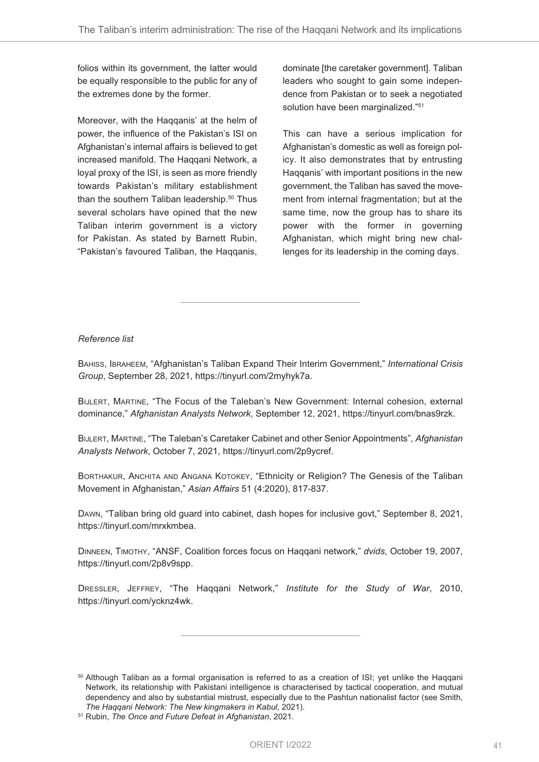folios within its government, the latter would be equally responsible to the public for any of the extremes done by the former.

Moreover, with the Haqqanis' at the helm of power, the influence of the Pakistan's ISI on Afghanistan's internal affairs is believed to get increased manifold. The Haqqani Network, a loyal proxy of the ISI, is seen as more friendly towards Pakistan's military establishment than the southern Taliban leadership. <sup>50</sup> Thus several scholars have opined that the new Taliban interim government is a victory for Pakistan. As stated by Barnett Rubin, "Pakistan's favoured Taliban, the Haqqanis,

dominate [the caretaker government]. Taliban leaders who sought to gain some independence from Pakistan or to seek a negotiated solution have been marginalized."<sup>51</sup>

This can have a serious implication for Afghanistan's domestic as well as foreign policy. It also demonstrates that by entrusting Haqqanis' with important positions in the new government, the Taliban has saved the movement from internal fragmentation; but at the same time, now the group has to share its power with the former in governing Afghanistan, which might bring new challenges for its leadership in the coming days.

#### *Reference list*

BAHISS, IBRAHEEM, "Afghanistan's Taliban Expand Their Interim Government," *International Crisis Group*, September 28, 2021, https://tinyurl.com/2myhyk7a.

BIJLERT, MARTINE, "The Focus of the Taleban's New Government: Internal cohesion, external dominance," *Afghanistan Analysts Network*, September 12, 2021, https://tinyurl.com/bnas9rzk.

BIJLERT, MARTINE, "The Taleban's Caretaker Cabinet and other Senior Appointments", *Afghanistan Analysts Network*, October 7, 2021, https://tinyurl.com/2p9ycref.

BORTHAKUR, ANCHITA AND ANGANA KOTOKEY, "Ethnicity or Religion? The Genesis of the Taliban Movement in Afghanistan," *Asian Affairs* 51 (4:2020), 817-837.

DAWN, "Taliban bring old guard into cabinet, dash hopes for inclusive govt," September 8, 2021, https://tinyurl.com/mrxkmbea.

DINNEEN, TIMOTHY, "ANSF, Coalition forces focus on Haqqani network," *dvids*, October 19, 2007, https://tinyurl.com/2p8v9spp.

DRESSLER, JEFFREY, "The Haqqani Network," *Institute for the Study of War*, 2010, https://tinyurl.com/ycknz4wk.

<sup>&</sup>lt;sup>50</sup> Although Taliban as a formal organisation is referred to as a creation of ISI; yet unlike the Haqqani Network, its relationship with Pakistani intelligence is characterised by tactical cooperation, and mutual dependency and also by substantial mistrust, especially due to the Pashtun nationalist factor (see Smith, *The Haqqani Network: The New kingmakers in Kabul*, 2021).

<sup>51</sup> Rubin, *The Once and Future Defeat in Afghanistan*, 2021.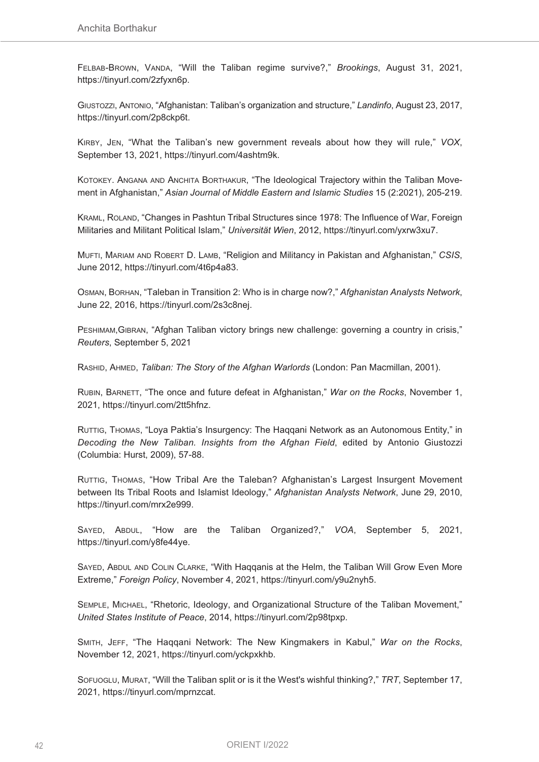FELBAB-BROWN, VANDA, "Will the Taliban regime survive?," *Brookings*, August 31, 2021, https://tinyurl.com/2zfyxn6p.

GIUSTOZZI, ANTONIO, "Afghanistan: Taliban's organization and structure," *Landinfo*, August 23, 2017, https://tinyurl.com/2p8ckp6t.

KIRBY, JEN, "What the Taliban's new government reveals about how they will rule," *VOX*, September 13, 2021, https://tinyurl.com/4ashtm9k.

KOTOKEY. ANGANA AND ANCHITA BORTHAKUR, "The Ideological Trajectory within the Taliban Movement in Afghanistan," *Asian Journal of Middle Eastern and Islamic Studies* 15 (2:2021), 205-219.

KRAML, ROLAND, "Changes in Pashtun Tribal Structures since 1978: The Influence of War, Foreign Militaries and Militant Political Islam," *Universität Wien*, 2012, https://tinyurl.com/yxrw3xu7.

MUFTI, MARIAM AND ROBERT D. LAMB, "Religion and Militancy in Pakistan and Afghanistan," *CSIS*, June 2012, https://tinyurl.com/4t6p4a83.

OSMAN, BORHAN, "Taleban in Transition 2: Who is in charge now?," *Afghanistan Analysts Network*, June 22, 2016, https://tinyurl.com/2s3c8nej.

PESHIMAM,GIBRAN, "Afghan Taliban victory brings new challenge: governing a country in crisis," *Reuters*, September 5, 2021

RASHID, AHMED, *Taliban: The Story of the Afghan Warlords* (London: Pan Macmillan, 2001).

RUBIN, BARNETT, "The once and future defeat in Afghanistan," *War on the Rocks*, November 1, 2021, https://tinyurl.com/2tt5hfnz.

RUTTIG, THOMAS, "Loya Paktia's Insurgency: The Haqqani Network as an Autonomous Entity," in *Decoding the New Taliban. Insights from the Afghan Field*, edited by Antonio Giustozzi (Columbia: Hurst, 2009), 57-88.

RUTTIG, THOMAS, "How Tribal Are the Taleban? Afghanistan's Largest Insurgent Movement between Its Tribal Roots and Islamist Ideology," *Afghanistan Analysts Network*, June 29, 2010, https://tinyurl.com/mrx2e999.

SAYED, ABDUL, "How are the Taliban Organized?," *VOA*, September 5, 2021, https://tinyurl.com/y8fe44ye.

SAYED, ABDUL AND COLIN CLARKE, "With Haqqanis at the Helm, the Taliban Will Grow Even More Extreme," *Foreign Policy*, November 4, 2021, https://tinyurl.com/y9u2nyh5.

SEMPLE, MICHAEL, "Rhetoric, Ideology, and Organizational Structure of the Taliban Movement," *United States Institute of Peace*, 2014, https://tinyurl.com/2p98tpxp.

SMITH, JEFF, "The Haqqani Network: The New Kingmakers in Kabul," *War on the Rocks*, November 12, 2021, https://tinyurl.com/yckpxkhb.

SOFUOGLU, MURAT, "Will the Taliban split or is it the West's wishful thinking?," *TRT*, September 17, 2021, https://tinyurl.com/mprnzcat.